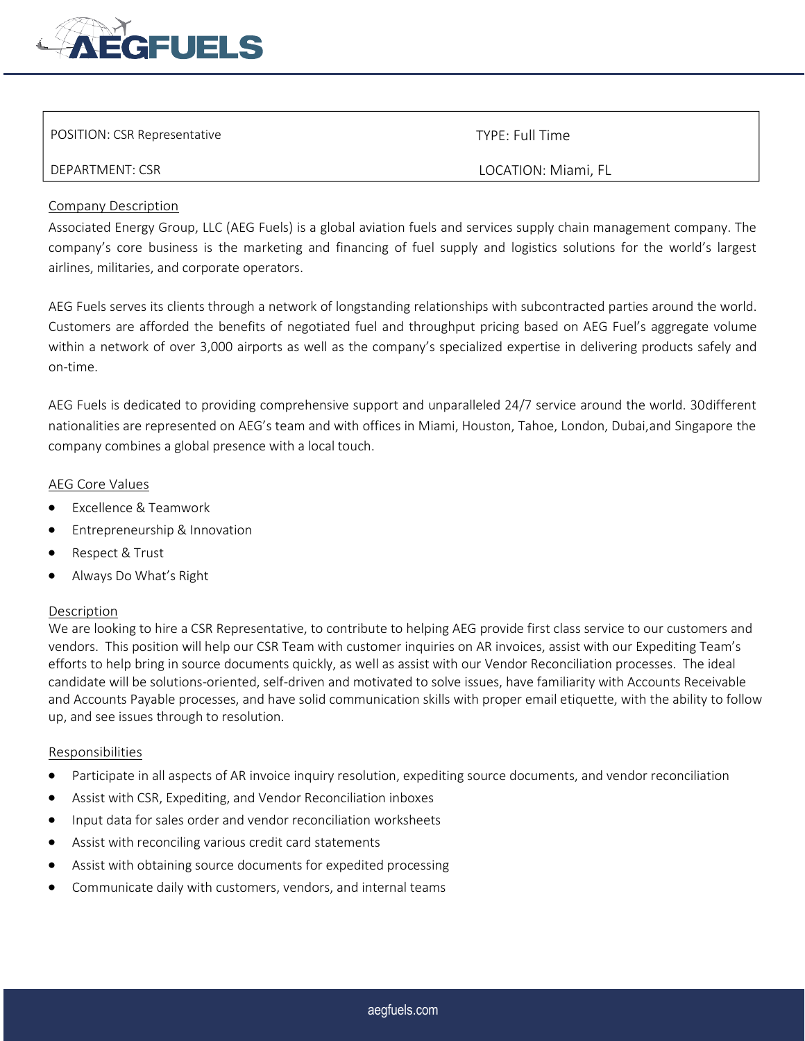

| POSITION: CSR Representative | TYPE: Full Time     |
|------------------------------|---------------------|
| DEPARTMENT: CSR              | LOCATION: Miami, FL |

# Company Description

Associated Energy Group, LLC (AEG Fuels) is a global aviation fuels and services supply chain management company. The company's core business is the marketing and financing of fuel supply and logistics solutions for the world's largest airlines, militaries, and corporate operators.

AEG Fuels serves its clients through a network of longstanding relationships with subcontracted parties around the world. Customers are afforded the benefits of negotiated fuel and throughput pricing based on AEG Fuel's aggregate volume within a network of over 3,000 airports as well as the company's specialized expertise in delivering products safely and on-time.

AEG Fuels is dedicated to providing comprehensive support and unparalleled 24/7 service around the world. 30different nationalities are represented on AEG's team and with offices in Miami, Houston, Tahoe, London, Dubai,and Singapore the company combines a global presence with a local touch.

## AEG Core Values

- Excellence & Teamwork
- Entrepreneurship & Innovation
- Respect & Trust
- Always Do What's Right

# Description

We are looking to hire a CSR Representative, to contribute to helping AEG provide first class service to our customers and vendors. This position will help our CSR Team with customer inquiries on AR invoices, assist with our Expediting Team's efforts to help bring in source documents quickly, as well as assist with our Vendor Reconciliation processes. The ideal candidate will be solutions-oriented, self-driven and motivated to solve issues, have familiarity with Accounts Receivable and Accounts Payable processes, and have solid communication skills with proper email etiquette, with the ability to follow up, and see issues through to resolution.

#### Responsibilities

- Participate in all aspects of AR invoice inquiry resolution, expediting source documents, and vendor reconciliation
- Assist with CSR, Expediting, and Vendor Reconciliation inboxes
- Input data for sales order and vendor reconciliation worksheets
- Assist with reconciling various credit card statements
- Assist with obtaining source documents for expedited processing
- Communicate daily with customers, vendors, and internal teams